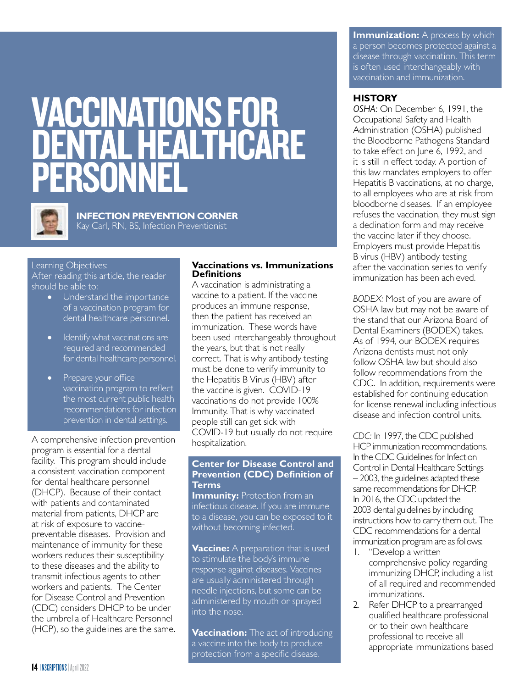# VACCINATIONS FOR DENTAL HEALTHCARE PERSONNEL



**INFECTION PREVENTION CORNER** Kay Carl, RN, BS, Infection Preventionist

#### Learning Objectives:

After reading this article, the reader should be able to:

- Understand the importance of a vaccination program for dental healthcare personnel.
- I dentify what vaccinations are required and recommended for dental healthcare personnel.
- Prepare your office vaccination program to reflect the most current public health recommendations for infection prevention in dental settings.

A comprehensive infection prevention program is essential for a dental facility. This program should include a consistent vaccination component for dental healthcare personnel (DHCP). Because of their contact with patients and contaminated material from patients, DHCP are at risk of exposure to vaccinepreventable diseases. Provision and maintenance of immunity for these workers reduces their susceptibility to these diseases and the ability to transmit infectious agents to other workers and patients. The Center for Disease Control and Prevention (CDC) considers DHCP to be under the umbrella of Healthcare Personnel (HCP), so the guidelines are the same.

#### **Vaccinations vs. Immunizations Definitions**

A vaccination is administrating a vaccine to a patient. If the vaccine produces an immune response, then the patient has received an immunization. These words have been used interchangeably throughout the years, but that is not really correct. That is why antibody testing must be done to verify immunity to the Hepatitis B Virus (HBV) after the vaccine is given. COVID-19 vaccinations do not provide 100% Immunity. That is why vaccinated people still can get sick with COVID-19 but usually do not require hospitalization.

#### **Center for Disease Control and Prevention (CDC) Definition of Terms**

**Immunity:** Protection from an infectious disease. If you are immune to a disease, you can be exposed to it without becoming infected.

**Vaccine:** A preparation that is used to stimulate the body's immune response against diseases. Vaccines are usually administered through needle injections, but some can be administered by mouth or sprayed into the nose.

**Vaccination:** The act of introducing a vaccine into the body to produce protection from a specific disease.

**Immunization:** A process by which a person becomes protected against a disease through vaccination. This term is often used interchangeably with vaccination and immunization.

#### **HISTORY**

*OSHA:* On December 6, 1991, the Occupational Safety and Health Administration (OSHA) published the Bloodborne Pathogens Standard to take effect on June 6, 1992, and it is still in effect today. A portion of this law mandates employers to offer Hepatitis B vaccinations, at no charge, to all employees who are at risk from bloodborne diseases. If an employee refuses the vaccination, they must sign a declination form and may receive the vaccine later if they choose. Employers must provide Hepatitis B virus (HBV) antibody testing after the vaccination series to verify immunization has been achieved.

*BODEX:* Most of you are aware of OSHA law but may not be aware of the stand that our Arizona Board of Dental Examiners (BODEX) takes. As of 1994, our BODEX requires Arizona dentists must not only follow OSHA law but should also follow recommendations from the CDC. In addition, requirements were established for continuing education for license renewal including infectious disease and infection control units.

*CDC:* In 1997, the CDC published HCP immunization recommendations. In the CDC Guidelines for Infection Control in Dental Healthcare Settings – 2003, the guidelines adapted these same recommendations for DHCP. In 2016, the CDC updated the 2003 dental guidelines by including instructions how to carry them out. The CDC recommendations for a dental immunization program are as follows:

- 1. "Develop a written comprehensive policy regarding immunizing DHCP, including a list of all required and recommended immunizations.
- 2. Refer DHCP to a prearranged qualified healthcare professional or to their own healthcare professional to receive all appropriate immunizations based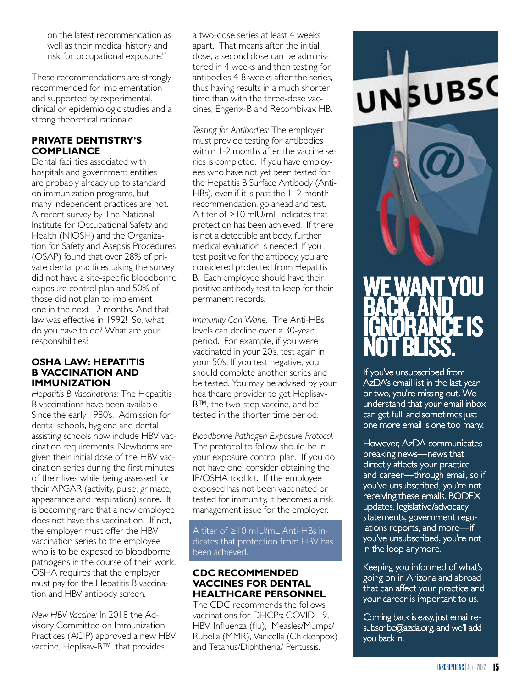on the latest recommendation as well as their medical history and risk for occupational exposure."

These recommendations are strongly recommended for implementation and supported by experimental, clinical or epidemiologic studies and a strong theoretical rationale.

## **PRIVATE DENTISTRY'S COMPLIANCE**

Dental facilities associated with hospitals and government entities are probably already up to standard on immunization programs, but many independent practices are not. A recent survey by The National Institute for Occupational Safety and Health (NIOSH) and the Organization for Safety and Asepsis Procedures (OSAP) found that over 28% of private dental practices taking the survey did not have a site-specific bloodborne exposure control plan and 50% of those did not plan to implement one in the next 12 months. And that law was effective in 1992! So, what do you have to do? What are your responsibilities?

#### **OSHA LAW: HEPATITIS B VACCINATION AND IMMUNIZATION**

*Hepatitis B Vaccinations:* The Hepatitis B vaccinations have been available Since the early 1980's. Admission for dental schools, hygiene and dental assisting schools now include HBV vaccination requirements. Newborns are given their initial dose of the HBV vaccination series during the first minutes of their lives while being assessed for their APGAR (activity, pulse, grimace, appearance and respiration) score. It is becoming rare that a new employee does not have this vaccination. If not, the employer must offer the HBV vaccination series to the employee who is to be exposed to bloodborne pathogens in the course of their work. OSHA requires that the employer must pay for the Hepatitis B vaccination and HBV antibody screen.

*New HBV Vaccine:* In 2018 the Advisory Committee on Immunization Practices (ACIP) approved a new HBV vaccine, Heplisav-B™, that provides

a two-dose series at least 4 weeks apart. That means after the initial dose, a second dose can be administered in 4 weeks and then testing for antibodies 4-8 weeks after the series, thus having results in a much shorter time than with the three-dose vaccines, Engerix-B and Recombivax HB.

*Testing for Antibodies:* The employer must provide testing for antibodies within 1-2 months after the vaccine series is completed. If you have employees who have not yet been tested for the Hepatitis B Surface Antibody (Anti-HBs), even if it is past the 1-2-month recommendation, go ahead and test. A titer of ≥10 mIU/mL indicates that protection has been achieved. If there is not a detectible antibody, further medical evaluation is needed. If you test positive for the antibody, you are considered protected from Hepatitis B. Each employee should have their positive antibody test to keep for their permanent records.

*Immunity Can Wane.* The Anti-HBs levels can decline over a 30-year period. For example, if you were vaccinated in your 20's, test again in your 50's. If you test negative, you should complete another series and be tested. You may be advised by your healthcare provider to get Heplisav-B™, the two-step vaccine, and be tested in the shorter time period.

*Bloodborne Pathogen Exposure Protocol.*  The protocol to follow should be in your exposure control plan. If you do not have one, consider obtaining the IP/OSHA tool kit. If the employee exposed has not been vaccinated or tested for immunity, it becomes a risk management issue for the employer.

A titer of ≥10 mIU/mL Anti-HBs indicates that protection from HBV has been achieved.

## **CDC RECOMMENDED VACCINES FOR DENTAL HEALTHCARE PERSONNEL**

The CDC recommends the follows vaccinations for DHCPs: COVID-19, HBV, Influenza (flu), Measles/Mumps/ Rubella (MMR), Varicella (Chickenpox) and Tetanus/Diphtheria/ Pertussis.

# WE WANT YOU BACK, AND IGNORANCE IS NOT BLISS.

UNSUBSC

If you've unsubscribed from AzDA's email list in the last year or two, you're missing out. We understand that your email inbox can get full, and sometimes just one more email is one too many.

However, AzDA communicates breaking news—news that directly affects your practice and career—through email, so if you've unsubscribed, you're not receiving these emails. BODEX updates, legislative/advocacy statements, government regulations reports, and more—if you've unsubscribed, you're not in the loop anymore.

Keeping you informed of what's going on in Arizona and abroad that can affect your practice and your career is important to us.

Coming back is easy, just email resubscribe@azda.org, and we'll add you back in.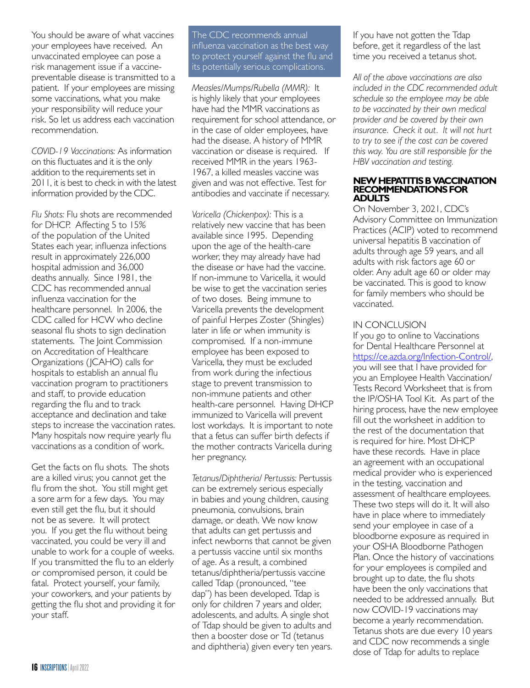You should be aware of what vaccines your employees have received. An unvaccinated employee can pose a risk management issue if a vaccinepreventable disease is transmitted to a patient. If your employees are missing some vaccinations, what you make your responsibility will reduce your risk. So let us address each vaccination recommendation.

*COVID-19 Vaccinations:* As information on this fluctuates and it is the only addition to the requirements set in 2011, it is best to check in with the latest information provided by the CDC.

*Flu Shots:* Flu shots are recommended for DHCP. Affecting 5 to 15% of the population of the United States each year, influenza infections result in approximately 226,000 hospital admission and 36,000 deaths annually. Since 1981, the CDC has recommended annual influenza vaccination for the healthcare personnel. In 2006, the CDC called for HCW who decline seasonal flu shots to sign declination statements. The Joint Commission on Accreditation of Healthcare Organizations (JCAHO) calls for hospitals to establish an annual flu vaccination program to practitioners and staff, to provide education regarding the flu and to track acceptance and declination and take steps to increase the vaccination rates. Many hospitals now require yearly flu vaccinations as a condition of work.

Get the facts on flu shots. The shots are a killed virus; you cannot get the flu from the shot. You still might get a sore arm for a few days. You may even still get the flu, but it should not be as severe. It will protect you. If you get the flu without being vaccinated, you could be very ill and unable to work for a couple of weeks. If you transmitted the flu to an elderly or compromised person, it could be fatal. Protect yourself, your family, your coworkers, and your patients by getting the flu shot and providing it for your staff.

The CDC recommends [annual](http://www.cdc.gov/flu/protect/vaccine/index.htm)  [influenza vaccination](http://www.cdc.gov/flu/protect/vaccine/index.htm) as the best way to protect yourself against the flu and its potentially serious complications.

*Measles/Mumps/Rubella (MMR):* It is highly likely that your employees have had the MMR vaccinations as requirement for school attendance, or in the case of older employees, have had the disease. A history of MMR vaccination or disease is required. If received MMR in the years 1963- 1967, a killed measles vaccine was given and was not effective. Test for antibodies and vaccinate if necessary.

*Varicella (Chickenpox):* This is a relatively new vaccine that has been available since 1995. Depending upon the age of the health-care worker, they may already have had the disease or have had the vaccine. If non-immune to Varicella, it would be wise to get the vaccination series of two doses. Being immune to Varicella prevents the development of painful Herpes Zoster (Shingles) later in life or when immunity is compromised. If a non-immune employee has been exposed to Varicella, they must be excluded from work during the infectious stage to prevent transmission to non-immune patients and other health-care personnel. Having DHCP immunized to Varicella will prevent lost workdays. It is important to note that a fetus can suffer birth defects if the mother contracts Varicella during her pregnancy.

*Tetanus/Diphtheria/ Pertussis:* Pertussis can be extremely serious especially in babies and young children, causing pneumonia, convulsions, brain damage, or death. We now know that adults can get pertussis and infect newborns that cannot be given a pertussis vaccine until six months of age. As a result, a combined tetanus/diphtheria/pertussis vaccine called Tdap (pronounced, "tee dap") has been developed. Tdap is only for children 7 years and older, adolescents, and adults. A single shot of Tdap should be given to adults and then a booster dose or Td (tetanus and diphtheria) given every ten years.

If you have not gotten the Tdap before, get it regardless of the last time you received a tetanus shot.

*All of the above vaccinations are also included in the CDC recommended adult schedule so the employee may be able to be vaccinated by their own medical provider and be covered by their own insurance. Check it out. It will not hurt to try to see if the cost can be covered this way. You are still responsible for the HBV vaccination and testing.* 

#### **NEW HEPATITIS B VACCINATION RECOMMENDATIONS FOR ADULTS**

On November 3, 2021, CDC's Advisory Committee on Immunization Practices (ACIP) voted to recommend universal hepatitis B vaccination of adults through age 59 years, and all adults with risk factors age 60 or older. Any adult age 60 or older may be vaccinated. This is good to know for family members who should be vaccinated.

#### IN CONCLUSION

If you go to online to Vaccinations for Dental Healthcare Personnel at <https://ce.azda.org/Infection-Control/>, you will see that I have provided for you an Employee Health Vaccination/ Tests Record Worksheet that is from the IP/OSHA Tool Kit. As part of the hiring process, have the new employee fill out the worksheet in addition to the rest of the documentation that is required for hire. Most DHCP have these records. Have in place an agreement with an occupational medical provider who is experienced in the testing, vaccination and assessment of healthcare employees. These two steps will do it. It will also have in place where to immediately send your employee in case of a bloodborne exposure as required in your OSHA Bloodborne Pathogen Plan. Once the history of vaccinations for your employees is compiled and brought up to date, the flu shots have been the only vaccinations that needed to be addressed annually. But now COVID-19 vaccinations may become a yearly recommendation. Tetanus shots are due every 10 years and CDC now recommends a single dose of Tdap for adults to replace